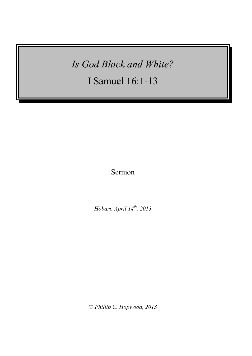# *Is God Black and White?*

I Samuel 16:1-13

Sermon

*Hobart, April 14th , 2013*

© *Phillip C. Hopwood, 2013*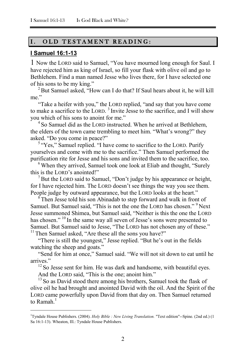### I. OLD TESTAMENT READING:

#### **I Samuel 16:1-13**

1 Now the LORD said to Samuel, "You have mourned long enough for Saul. I have rejected him as king of Israel, so fill your flask with olive oil and go to Bethlehem. Find a man named Jesse who lives there, for I have selected one of his sons to be my king."

<sup>2</sup> But Samuel asked, "How can I do that? If Saul hears about it, he will kill me."

"Take a heifer with you," the LORD replied, "and say that you have come to make a sacrifice to the LORD.<sup>3</sup> Invite Jesse to the sacrifice, and I will show you which of his sons to anoint for me."

<sup>4</sup> So Samuel did as the LORD instructed. When he arrived at Bethlehem, the elders of the town came trembling to meet him. "What's wrong?" they asked. "Do you come in peace?"

<sup>5</sup> "Yes," Samuel replied. "I have come to sacrifice to the LORD. Purify yourselves and come with me to the sacrifice." Then Samuel performed the purification rite for Jesse and his sons and invited them to the sacrifice, too.

<sup>6</sup> When they arrived, Samuel took one look at Eliab and thought, "Surely this is the LORD's anointed!"

 $<sup>7</sup>$  But the LORD said to Samuel, "Don't judge by his appearance or height,</sup> for I have rejected him. The LORD doesn't see things the way you see them. People judge by outward appearance, but the LORD looks at the heart."

<sup>8</sup> Then Jesse told his son Abinadab to step forward and walk in front of Samuel. But Samuel said, "This is not the one the LORD has chosen." <sup>9</sup> Next Jesse summoned Shimea, but Samuel said, "Neither is this the one the LORD has chosen." <sup>10</sup> In the same way all seven of Jesse's sons were presented to Samuel. But Samuel said to Jesse, "The LORD has not chosen any of these."  $11$  Then Samuel asked, "Are these all the sons you have?"

"There is still the youngest," Jesse replied. "But he's out in the fields watching the sheep and goats."

"Send for him at once," Samuel said. "We will not sit down to eat until he arrives."

<sup>12</sup> So Jesse sent for him. He was dark and handsome, with beautiful eyes.

And the LORD said, "This is the one; anoint him."

1

<sup>13</sup> So as David stood there among his brothers, Samuel took the flask of olive oil he had brought and anointed David with the oil. And the Spirit of the LORD came powerfully upon David from that day on. Then Samuel returned to Ramah. $<sup>1</sup>$ </sup>

<sup>&</sup>lt;sup>1</sup>Tyndale House Publishers. (2004). *Holy Bible : New Living Translation*. "Text edition"--Spine. (2nd ed.) (1 Sa 16:1-13). Wheaton, Ill.: Tyndale House Publishers.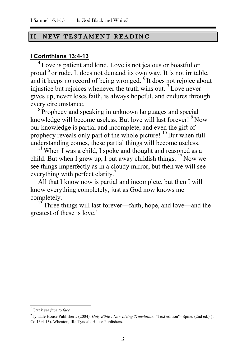#### II. NEW TESTAMENT READING

### **I Corinthians 13:4-13**

<sup>4</sup> Love is patient and kind. Love is not jealous or boastful or proud <sup>5</sup> or rude. It does not demand its own way. It is not irritable, and it keeps no record of being wronged. <sup>6</sup> It does not rejoice about injustice but rejoices whenever the truth wins out. <sup>7</sup> Love never gives up, never loses faith, is always hopeful, and endures through every circumstance.

<sup>8</sup> Prophecy and speaking in unknown languages and special knowledge will become useless. But love will last forever! <sup>9</sup> Now our knowledge is partial and incomplete, and even the gift of prophecy reveals only part of the whole picture!  $^{10}$  But when full understanding comes, these partial things will become useless.

 $11$  When I was a child, I spoke and thought and reasoned as a child. But when I grew up, I put away childish things.  $^{12}$  Now we see things imperfectly as in a cloudy mirror, but then we will see everything with perfect clarity.<sup>\*</sup>

All that I know now is partial and incomplete, but then I will know everything completely, just as God now knows me completely.

 $13$ <sup>T</sup>Three things will last forever—faith, hope, and love—and the greatest of these is love.<sup>2</sup>

1

<sup>\*</sup> Greek *see face to face.*

<sup>2</sup>Tyndale House Publishers. (2004). *Holy Bible : New Living Translation.* "Text edition"--Spine. (2nd ed.) (1 Co 13:4-13). Wheaton, Ill.: Tyndale House Publishers.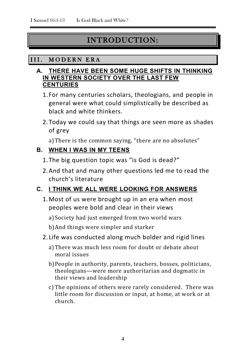# INTRODUCTION:

# III. MODERN ERA

### **A. THERE HAVE BEEN SOME HUGE SHIFTS IN THINKING IN WESTERN SOCIETY OVER THE LAST FEW CENTURIES**

- 1. For many centuries scholars, theologians, and people in general were what could simplistically be described as black and white thinkers.
- 2.Today we could say that things are seen more as shades of grey

a)There is the common saying, "there are no absolutes"

# **B. WHEN I WAS IN MY TEENS**

- 1.The big question topic was "is God is dead?"
- 2.And that and many other questions led me to read the church's literature

# **C. I THINK WE ALL WERE LOOKING FOR ANSWERS**

- 1.Most of us were brought up in an era when most peoples were bold and clear in their views
	- a)Society had just emerged from two world wars
	- b)And things were simpler and starker
- 2. Life was conducted along much bolder and rigid lines
	- a)There was much less room for doubt or debate about moral issues
	- b)People in authority, parents, teachers, bosses, politicians, theologians—were more authoritarian and dogmatic in their views and leadership
	- c) The opinions of others were rarely considered. There was little room for discussion or input, at home, at work or at church.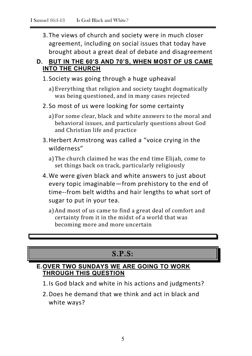3.The views of church and society were in much closer agreement, including on social issues that today have brought about a great deal of debate and disagreement

# **D. BUT IN THE 60'S AND 70'S, WHEN MOST OF US CAME INTO THE CHURCH**

- 1. Society was going through a huge upheaval
	- a)Everything that religion and society taught dogmatically was being questioned, and in many cases rejected
- 2. So most of us were looking for some certainty
	- a)For some clear, black and white answers to the moral and behavioral issues, and particularly questions about God and Christian life and practice
- 3.Herbert Armstrong was called a "voice crying in the wilderness"
	- a)The church claimed he was the end time Elijah, come to set things back on track, particularly religiously
- 4.We were given black and white answers to just about every topic imaginable—from prehistory to the end of time--from belt widths and hair lengths to what sort of sugar to put in your tea.
	- a)And most of us came to find a great deal of comfort and certainty from it in the midst of a world that was becoming more and more uncertain

# S.P.S:

# **E.OVER TWO SUNDAYS WE ARE GOING TO WORK THROUGH THIS QUESTION**

- 1.Is God black and white in his actions and judgments?
- 2.Does he demand that we think and act in black and white ways?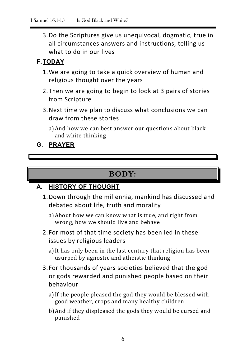3.Do the Scriptures give us unequivocal, dogmatic, true in all circumstances answers and instructions, telling us what to do in our lives

# **F.TODAY**

- 1.We are going to take a quick overview of human and religious thought over the years
- 2.Then we are going to begin to look at 3 pairs of stories from Scripture
- 3.Next time we plan to discuss what conclusions we can draw from these stories
	- a)And how we can best answer our questions about black and white thinking

**G. PRAYER**

# BODY:

# **A. HISTORY OF THOUGHT**

- 1.Down through the millennia, mankind has discussed and debated about life, truth and morality
	- a)About how we can know what is true, and right from wrong, how we should live and behave
- 2. For most of that time society has been led in these issues by religious leaders
	- a)It has only been in the last century that religion has been usurped by agnostic and atheistic thinking
- 3. For thousands of years societies believed that the god or gods rewarded and punished people based on their behaviour
	- a)If the people pleased the god they would be blessed with good weather, crops and many healthy children
	- b)And if they displeased the gods they would be cursed and punished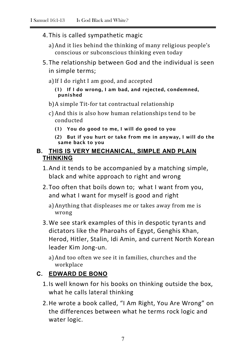4.This is called sympathetic magic

a)And it lies behind the thinking of many religious people's conscious or subconscious thinking even today

- 5.The relationship between God and the individual is seen in simple terms;
	- a)If I do right I am good, and accepted
		- **(1) If I do wrong, I am bad, and rejected, condemned, punished**
	- b)A simple Tit-for tat contractual relationship
	- c) And this is also how human relationships tend to be conducted
		- **(1) You do good to me, I will do good to you**
		- **(2) But if you hurt or take from me in anyway, I will do the same back to you**

## **B. THIS IS VERY MECHANICAL, SIMPLE AND PLAIN THINKING**

- 1.And it tends to be accompanied by a matching simple, black and white approach to right and wrong
- 2.Too often that boils down to; what I want from you, and what I want for myself is good and right
	- a)Anything that displeases me or takes away from me is wrong
- 3.We see stark examples of this in despotic tyrants and dictators like the Pharoahs of Egypt, Genghis Khan, Herod, Hitler, Stalin, Idi Amin, and current North Korean leader Kim Jong-un.

a)And too often we see it in families, churches and the workplace

# **C. EDWARD DE BONO**

- 1.Is well known for his books on thinking outside the box, what he calls lateral thinking
- 2.He wrote a book called, "I Am Right, You Are Wrong" on the differences between what he terms rock logic and water logic.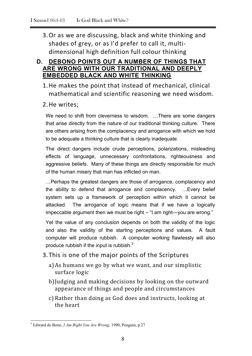3.Or as we are discussing, black and white thinking and shades of grey, or as I'd prefer to call it, multidimensional high definition full colour thinking

### **D. DEBONO POINTS OUT A NUMBER OF THINGS THAT ARE WRONG WITH OUR TRADITIONAL AND DEEPLY EMBEDDED BLACK AND WHITE THINKING**

- 1.He makes the point that instead of mechanical, clinical mathematical and scientific reasoning we need wisdom.
- 2.He writes;

We need to shift from cleverness to wisdom. ...There are some dangers that arise directly from the nature of our traditional thinking culture. There are others arising from the complacency and arrogance with which we hold to be adequate a thinking culture that is clearly inadequate.

The direct dangers include crude perceptions, polarizations, misleading effects of language, unnecessary confrontations, righteousness and aggressive beliefs. Many of these things are directly responsible for much of the human misery that man has inflicted on man.

…Perhaps the greatest dangers are those of arrogance, complacency and the ability to defend that arrogance and complacency. …Every belief system sets up a framework of perception within which it cannot be attacked. The arrogance of logic means that if we have a logically impeccable argument then we must be right – "I am right—you are wrong."

Yet the value of any conclusion depends on both the validity of the logic and also the validity of the starting perceptions and values. A fault computer will produce rubbish. A computer working flawlessly will also produce rubbish if the input is rubbish.<sup>3</sup>

# 3.This is one of the major points of the Scriptures

- a)As humans we go by what we want, and our simplistic surface logic
- b)Judging and making decisions by looking on the outward appearance of things and people and circumstances
- c) Rather than doing as God does and instructs, looking at the heart

<sup>3</sup> Edward de Bono, *I Am Right You Are Wrong*, 1990, Penguin, p.27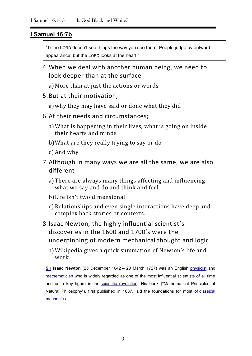#### **I Samuel 16:7b**

 $7$  bThe LORD doesn't see things the way you see them. People judge by outward appearance, but the LORD looks at the heart."

- 4.When we deal with another human being, we need to look deeper than at the surface
	- a)More than at just the actions or words
- 5.But at their motivation;
	- a)why they may have said or done what they did
- 6.At their needs and circumstances;
	- a)What is happening in their lives, what is going on inside their hearts and minds
	- b)What are they really trying to say or do
	- c) And why
- 7.Although in many ways we are all the same, we are also different
	- a)There are always many things affecting and influencing what we say and do and think and feel
	- b)Life isn't two dimensional
	- c) Relationships and even single interactions have deep and complex back stories or contexts.
- 8.Isaac Newton, the highly influential scientist's discoveries in the 1600 and 1700's were the underpinning of modern mechanical thought and logic
	- a)Wikipedia gives a quick summation of Newton's life and work

**[Sir](http://en.wikipedia.org/wiki/Knight_Bachelor) Isaac Newton** (25 December 1642 – 20 March 1727) was an English [physicist](http://en.wikipedia.org/wiki/Physics) and [mathematician](http://en.wikipedia.org/wiki/Methematics) who is widely regarded as one of the most influential scientists of all time and as a key figure in the [scientific revolution.](http://en.wikipedia.org/wiki/Scientific_revolution) His book ("Mathematical Principles of Natural Philosophy"), first published in 1687, laid the foundations for most of [classical](http://en.wikipedia.org/wiki/Classical_mechanics)  [mechanics.](http://en.wikipedia.org/wiki/Classical_mechanics)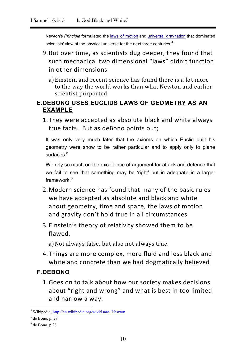Newton's *Principia* formulated the [laws of motion](http://en.wikipedia.org/wiki/Newton%27s_laws_of_motion) and [universal gravitation](http://en.wikipedia.org/wiki/Newton%27s_law_of_universal_gravitation) that dominated scientists' view of the physical universe for the next three centuries.<sup>4</sup>

- 9.But over time, as scientists dug deeper, they found that such mechanical two dimensional "laws" didn't function in other dimensions
	- a)Einstein and recent science has found there is a lot more to the way the world works than what Newton and earlier scientist purported.

### **E.DEBONO USES EUCLIDS LAWS OF GEOMETRY AS AN EXAMPLE**

1.They were accepted as absolute black and white always true facts. But as deBono points out;

It was only very much later that the axioms on which Euclid built his geometry were show to be rather particular and to apply only to plane surfaces.<sup>5</sup>

We rely so much on the excellence of argument for attack and defence that we fail to see that something may be 'right' but in adequate in a larger framework.<sup>6</sup>

- 2.Modern science has found that many of the basic rules we have accepted as absolute and black and white about geometry, time and space, the laws of motion and gravity don't hold true in all circumstances
- 3.Einstein's theory of relativity showed them to be flawed.

a) Not always false, but also not always true.

4.Things are more complex, more fluid and less black and white and concrete than we had dogmatically believed

# **F.DEBONO**

1.Goes on to talk about how our society makes decisions about "right and wrong" and what is best in too limited and narrow a way.

<sup>&</sup>lt;sup>4</sup> Wikipedia[; http://en.wikipedia.org/wiki/Isaac\\_Newton](http://en.wikipedia.org/wiki/Isaac_Newton)

 $<sup>5</sup>$  de Bono, p. 28</sup>

 $<sup>6</sup>$  de Bono, p.28</sup>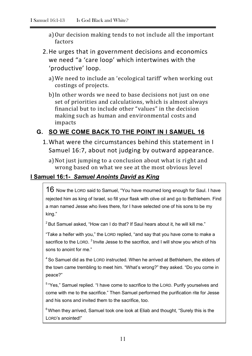- a)Our decision making tends to not include all the important factors
- 2.He urges that in government decisions and economics we need "a 'care loop' which intertwines with the 'productive' loop.
	- a)We need to include an 'ecological tariff' when working out costings of projects.
	- b)In other words we need to base decisions not just on one set of priorities and calculations, which is almost always financial but to include other "values" in the decision making such as human and environmental costs and impacts

# **G. SO WE COME BACK TO THE POINT IN I SAMUEL 16**

1.What were the circumstances behind this statement in I Samuel 16:7, about not judging by outward appearance.

a)Not just jumping to a conclusion about what is right and wrong based on what we see at the most obvious level

# **I Samuel 16:1-** *Samuel Anoints David as King*

16 Now the LORD said to Samuel, "You have mourned long enough for Saul. I have rejected him as king of Israel, so fill your flask with olive oil and go to Bethlehem. Find a man named Jesse who lives there, for I have selected one of his sons to be my king."

 $2$  But Samuel asked, "How can I do that? If Saul hears about it, he will kill me."

"Take a heifer with you," the LORD replied, "and say that you have come to make a sacrifice to the LORD.  $3$  Invite Jesse to the sacrifice, and I will show you which of his sons to anoint for me."

<sup>4</sup> So Samuel did as the LORD instructed. When he arrived at Bethlehem, the elders of the town came trembling to meet him. "What's wrong?" they asked. "Do you come in peace?"

<sup>5</sup> "Yes," Samuel replied. "I have come to sacrifice to the LORD. Purify yourselves and come with me to the sacrifice." Then Samuel performed the purification rite for Jesse and his sons and invited them to the sacrifice, too.

 $6$  When they arrived, Samuel took one look at Eliab and thought, "Surely this is the LORD's anointed!"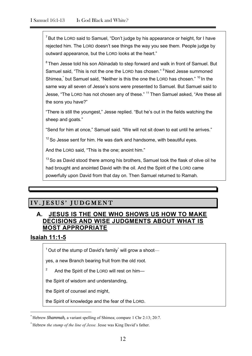$7$  But the LORD said to Samuel, "Don't judge by his appearance or height, for I have rejected him. The LORD doesn't see things the way you see them. People judge by outward appearance, but the LORD looks at the heart."

<sup>8</sup> Then Jesse told his son Abinadab to step forward and walk in front of Samuel. But Samuel said, "This is not the one the LORD has chosen." <sup>9</sup> Next Jesse summoned Shimea,<sup>\*</sup> but Samuel said, "Neither is this the one the LORD has chosen." <sup>10</sup> In the same way all seven of Jesse's sons were presented to Samuel. But Samuel said to Jesse, "The LORD has not chosen any of these." <sup>11</sup> Then Samuel asked, "Are these all the sons you have?"

"There is still the youngest," Jesse replied. "But he's out in the fields watching the sheep and goats."

"Send for him at once," Samuel said. "We will not sit down to eat until he arrives."

 $12$  So Jesse sent for him. He was dark and handsome, with beautiful eyes.

And the LORD said, "This is the one; anoint him."

 $13$  So as David stood there among his brothers, Samuel took the flask of olive oil he had brought and anointed David with the oil. And the Spirit of the LORD came powerfully upon David from that day on. Then Samuel returned to Ramah.

# IV. JESUS' JUDGMENT

### **A. JESUS IS THE ONE WHO SHOWS US HOW TO MAKE DECISIONS AND WISE JUDGMENTS ABOUT WHAT IS MOST APPROPRIATE**

#### **Isaiah 11:1-5**

1

 $1$  Out of the stump of David's family will grow a shoot—

yes, a new Branch bearing fruit from the old root.

2 And the Spirit of the LORD will rest on him—

the Spirit of wisdom and understanding,

the Spirit of counsel and might,

the Spirit of knowledge and the fear of the LORD.

<sup>\*</sup> Hebrew *Shammah,* a variant spelling of Shimea; compare 1 Chr 2:13; 20:7.

<sup>\*</sup> Hebrew *the stump of the line of Jesse.* Jesse was King David's father.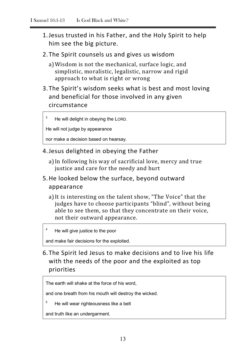- 1.Jesus trusted in his Father, and the Holy Spirit to help him see the big picture.
- 2.The Spirit counsels us and gives us wisdom
	- a)Wisdom is not the mechanical, surface logic, and simplistic, moralistic, legalistic, narrow and rigid approach to what is right or wrong
- 3.The Spirit's wisdom seeks what is best and most loving and beneficial for those involved in any given circumstance

He will delight in obeying the LORD.

He will not judge by appearance

3

4

5

nor make a decision based on hearsay.

- 4.Jesus delighted in obeying the Father
	- a)In following his way of sacrificial love, mercy and true justice and care for the needy and hurt
- 5.He looked below the surface, beyond outward appearance
	- a)It is interesting on the talent show, "The Voice" that the judges have to choose participants "blind", without being able to see them, so that they concentrate on their voice, not their outward appearance.

He will give justice to the poor

and make fair decisions for the exploited.

6.The Spirit led Jesus to make decisions and to live his life with the needs of the poor and the exploited as top priorities

The earth will shake at the force of his word,

and one breath from his mouth will destroy the wicked.

He will wear righteousness like a belt

and truth like an undergarment.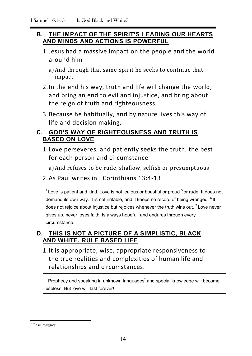# **B. THE IMPACT OF THE SPIRIT'S LEADING OUR HEARTS AND MINDS AND ACTIONS IS POWERFUL**

- 1.Jesus had a massive impact on the people and the world around him
	- a)And through that same Spirit he seeks to continue that impact
- 2.In the end his way, truth and life will change the world, and bring an end to evil and injustice, and bring about the reign of truth and righteousness
- 3.Because he habitually, and by nature lives this way of life and decision making.

# **C. GOD'S WAY OF RIGHTEOUSNESS AND TRUTH IS BASED ON LOVE**

1. Love perseveres, and patiently seeks the truth, the best for each person and circumstance

a)And refuses to be rude, shallow, selfish or presumptuous

# 2.As Paul writes in I Corinthians 13:4-13

 $4$  Love is patient and kind. Love is not jealous or boastful or proud  $5$  or rude. It does not demand its own way. It is not irritable, and it keeps no record of being wronged. <sup>6</sup> It does not rejoice about injustice but rejoices whenever the truth wins out.  $7$  Love never gives up, never loses faith, is always hopeful, and endures through every circumstance.

# **D. THIS IS NOT A PICTURE OF A SIMPLISTIC, BLACK AND WHITE, RULE BASED LIFE**

1.It is appropriate, wise, appropriate responsiveness to the true realities and complexities of human life and relationships and circumstances.

 $8$ Prophecy and speaking in unknown languages $\dot{\ }$  and special knowledge will become useless. But love will last forever!

<sup>\*</sup> Or *in tongues.*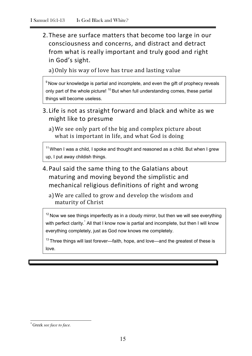2.These are surface matters that become too large in our consciousness and concerns, and distract and detract from what is really important and truly good and right in God's sight.

a)Only his way of love has true and lasting value

 $9$  Now our knowledge is partial and incomplete, and even the gift of prophecy reveals only part of the whole picture! <sup>10</sup> But when full understanding comes, these partial things will become useless.

- 3. Life is not as straight forward and black and white as we might like to presume
	- a)We see only part of the big and complex picture about what is important in life, and what God is doing

 $11$  When I was a child, I spoke and thought and reasoned as a child. But when I grew up, I put away childish things.

4.Paul said the same thing to the Galatians about maturing and moving beyond the simplistic and mechanical religious definitions of right and wrong

a)We are called to grow and develop the wisdom and maturity of Christ

 $12$  Now we see things imperfectly as in a cloudy mirror, but then we will see everything with perfect clarity.<sup>\*</sup> All that I know now is partial and incomplete, but then I will know everything completely, just as God now knows me completely.

 $13$  Three things will last forever—faith, hope, and love—and the greatest of these is love.

<sup>\*</sup> Greek *see face to face.*